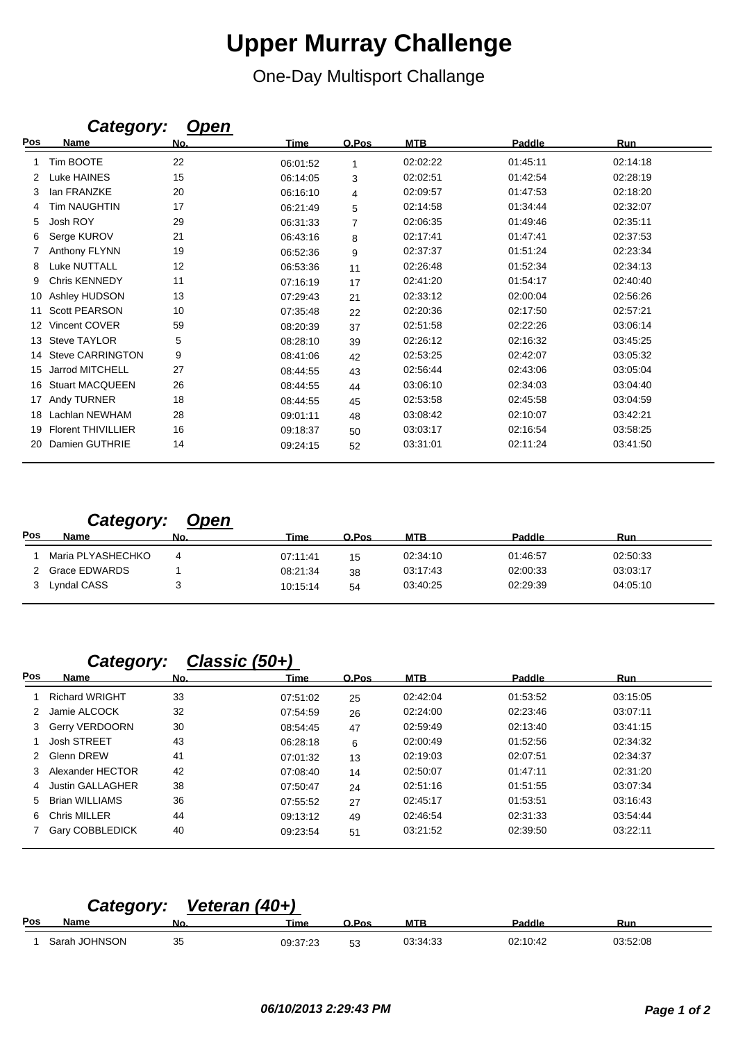## **Upper Murray Challenge**

One-Day Multisport Challange

|     | Galegory.                 | <b>Open</b> |             |                |            |               |            |
|-----|---------------------------|-------------|-------------|----------------|------------|---------------|------------|
| Pos | <b>Name</b>               | No.         | <b>Time</b> | O.Pos          | <b>MTB</b> | <b>Paddle</b> | <b>Run</b> |
|     | Tim BOOTE                 | 22          | 06:01:52    | 1              | 02:02:22   | 01:45:11      | 02:14:18   |
| 2   | Luke HAINES               | 15          | 06:14:05    | 3              | 02:02:51   | 01:42:54      | 02:28:19   |
|     | lan FRANZKE               | 20          | 06:16:10    | 4              | 02:09:57   | 01:47:53      | 02:18:20   |
|     | <b>Tim NAUGHTIN</b>       | 17          | 06:21:49    | 5              | 02:14:58   | 01:34:44      | 02:32:07   |
| 5   | Josh ROY                  | 29          | 06:31:33    | $\overline{7}$ | 02:06:35   | 01:49:46      | 02:35:11   |
| 6   | Serge KUROV               | 21          | 06:43:16    | 8              | 02:17:41   | 01:47:41      | 02:37:53   |
|     | Anthony FLYNN             | 19          | 06:52:36    | 9              | 02:37:37   | 01:51:24      | 02:23:34   |
| 8   | <b>Luke NUTTALL</b>       | 12          | 06:53:36    | 11             | 02:26:48   | 01:52:34      | 02:34:13   |
| 9   | Chris KENNEDY             | 11          | 07:16:19    | 17             | 02:41:20   | 01:54:17      | 02:40:40   |
| 10  | Ashley HUDSON             | 13          | 07:29:43    | 21             | 02:33:12   | 02:00:04      | 02:56:26   |
| 11  | <b>Scott PEARSON</b>      | 10          | 07:35:48    | 22             | 02:20:36   | 02:17:50      | 02:57:21   |
| 12  | Vincent COVER             | 59          | 08:20:39    | 37             | 02:51:58   | 02:22:26      | 03:06:14   |
| 13  | <b>Steve TAYLOR</b>       | 5           | 08:28:10    | 39             | 02:26:12   | 02:16:32      | 03:45:25   |
| 14  | <b>Steve CARRINGTON</b>   | 9           | 08:41:06    | 42             | 02:53:25   | 02:42:07      | 03:05:32   |
| 15  | Jarrod MITCHELL           | 27          | 08:44:55    | 43             | 02:56:44   | 02:43:06      | 03:05:04   |
| 16  | <b>Stuart MACQUEEN</b>    | 26          | 08:44:55    | 44             | 03:06:10   | 02:34:03      | 03:04:40   |
| 17  | Andy TURNER               | 18          | 08:44:55    | 45             | 02:53:58   | 02:45:58      | 03:04:59   |
| 18  | Lachlan NEWHAM            | 28          | 09:01:11    | 48             | 03:08:42   | 02:10:07      | 03:42:21   |
| 19  | <b>Florent THIVILLIER</b> | 16          | 09:18:37    | 50             | 03:03:17   | 02:16:54      | 03:58:25   |
| 20  | Damien GUTHRIE            | 14          | 09:24:15    | 52             | 03:31:01   | 02:11:24      | 03:41:50   |

#### *Category: Open*

*Category: Open*

| Pos | <b>Name</b>       | No. | Time     | O.Pos | <b>MTB</b> | Paddle   | Run      |  |
|-----|-------------------|-----|----------|-------|------------|----------|----------|--|
|     | Maria PLYASHECHKO |     | 07:11:41 | 15    | 02:34:10   | 01:46:57 | 02:50:33 |  |
|     | Grace EDWARDS     |     | 08:21:34 | 38    | 03:17:43   | 02:00:33 | 03:03:17 |  |
|     | Lyndal CASS       |     | 10:15:14 | 54    | 03:40:25   | 02:29:39 | 04:05:10 |  |

## *Category: Classic (50+)*

| Pos | Name                    | No. | Time     | O.Pos | <b>MTB</b> | Paddle   | <b>Run</b> |
|-----|-------------------------|-----|----------|-------|------------|----------|------------|
|     | <b>Richard WRIGHT</b>   | 33  | 07:51:02 | 25    | 02:42:04   | 01:53:52 | 03:15:05   |
| 2   | Jamie ALCOCK            | 32  | 07:54:59 | 26    | 02:24:00   | 02:23:46 | 03:07:11   |
| 3   | <b>Gerry VERDOORN</b>   | 30  | 08:54:45 | 47    | 02:59:49   | 02:13:40 | 03:41:15   |
|     | Josh STREET             | 43  | 06:28:18 | 6     | 02:00:49   | 01:52:56 | 02:34:32   |
| 2   | Glenn DREW              | 41  | 07:01:32 | 13    | 02:19:03   | 02:07:51 | 02:34:37   |
| 3   | Alexander HECTOR        | 42  | 07:08:40 | 14    | 02:50:07   | 01:47:11 | 02:31:20   |
| 4   | <b>Justin GALLAGHER</b> | 38  | 07:50:47 | 24    | 02:51:16   | 01:51:55 | 03:07:34   |
| 5   | Brian WILLIAMS          | 36  | 07:55:52 | 27    | 02:45:17   | 01:53:51 | 03:16:43   |
| 6.  | Chris MILLER            | 44  | 09:13:12 | 49    | 02:46:54   | 02:31:33 | 03:54:44   |
|     | Gary COBBLEDICK         | 40  | 09:23:54 | 51    | 03:21:52   | 02:39:50 | 03:22:11   |

#### *Category: Veteran (40+)*

| Pos | __<br>__<br>Name       | Nο       | <b>Time</b>       | Doo<br>-08 | <b>MTE</b> | Paddle   | Run      |  |
|-----|------------------------|----------|-------------------|------------|------------|----------|----------|--|
|     | <b>OHNSON</b><br>sarar | っこ<br>ັບ | 09:37:23<br>_____ | r o<br>ეკ  | 03.34.33   | 02:10:42 | 03:52:08 |  |